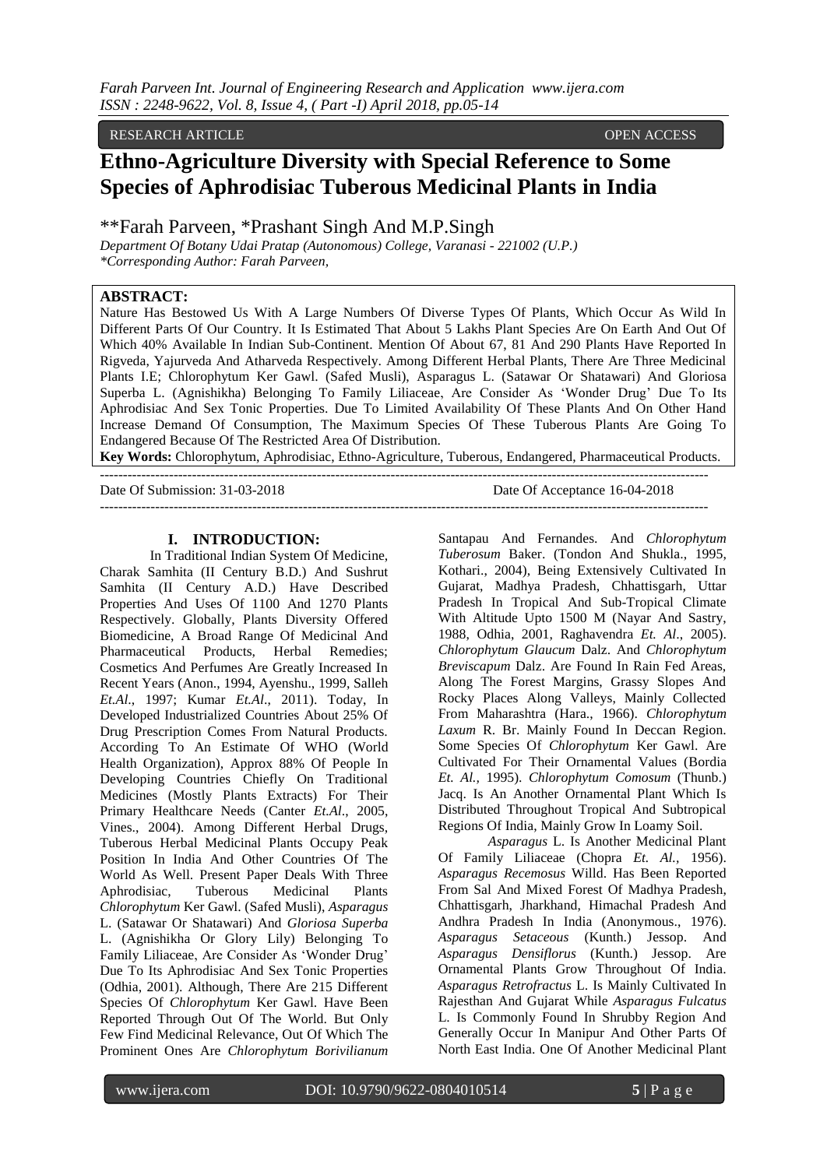## RESEARCH ARTICLE **CONSERVERS**

# **Ethno-Agriculture Diversity with Special Reference to Some Species of Aphrodisiac Tuberous Medicinal Plants in India**

\*\*Farah Parveen, \*Prashant Singh And M.P.Singh

*Department Of Botany Udai Pratap (Autonomous) College, Varanasi - 221002 (U.P.) \*Corresponding Author: Farah Parveen,*

#### **ABSTRACT:**

Nature Has Bestowed Us With A Large Numbers Of Diverse Types Of Plants, Which Occur As Wild In Different Parts Of Our Country. It Is Estimated That About 5 Lakhs Plant Species Are On Earth And Out Of Which 40% Available In Indian Sub-Continent. Mention Of About 67, 81 And 290 Plants Have Reported In Rigveda, Yajurveda And Atharveda Respectively. Among Different Herbal Plants, There Are Three Medicinal Plants I.E; Chlorophytum Ker Gawl. (Safed Musli), Asparagus L. (Satawar Or Shatawari) And Gloriosa Superba L. (Agnishikha) Belonging To Family Liliaceae, Are Consider As "Wonder Drug" Due To Its Aphrodisiac And Sex Tonic Properties. Due To Limited Availability Of These Plants And On Other Hand Increase Demand Of Consumption, The Maximum Species Of These Tuberous Plants Are Going To Endangered Because Of The Restricted Area Of Distribution.

**Key Words:** Chlorophytum, Aphrodisiac, Ethno-Agriculture, Tuberous, Endangered, Pharmaceutical Products.

Date Of Submission: 31-03-2018 Date Of Acceptance 16-04-2018 ------------------------------------------------------------------------------------------------------------------------------------

#### **I. INTRODUCTION:**

------------------------------------------------------------------------------------------------------------------------------------

In Traditional Indian System Of Medicine, Charak Samhita (II Century B.D.) And Sushrut Samhita (II Century A.D.) Have Described Properties And Uses Of 1100 And 1270 Plants Respectively. Globally, Plants Diversity Offered Biomedicine, A Broad Range Of Medicinal And Pharmaceutical Products, Herbal Remedies; Cosmetics And Perfumes Are Greatly Increased In Recent Years (Anon., 1994, Ayenshu., 1999, Salleh *Et.Al*., 1997; Kumar *Et.Al*., 2011). Today, In Developed Industrialized Countries About 25% Of Drug Prescription Comes From Natural Products. According To An Estimate Of WHO (World Health Organization), Approx 88% Of People In Developing Countries Chiefly On Traditional Medicines (Mostly Plants Extracts) For Their Primary Healthcare Needs (Canter *Et.Al*., 2005, Vines., 2004). Among Different Herbal Drugs, Tuberous Herbal Medicinal Plants Occupy Peak Position In India And Other Countries Of The World As Well. Present Paper Deals With Three Aphrodisiac, Tuberous Medicinal Plants *Chlorophytum* Ker Gawl. (Safed Musli), *Asparagus* L. (Satawar Or Shatawari) And *Gloriosa Superba* L. (Agnishikha Or Glory Lily) Belonging To Family Liliaceae, Are Consider As 'Wonder Drug' Due To Its Aphrodisiac And Sex Tonic Properties (Odhia, 2001). Although, There Are 215 Different Species Of *Chlorophytum* Ker Gawl. Have Been Reported Through Out Of The World. But Only Few Find Medicinal Relevance, Out Of Which The Prominent Ones Are *Chlorophytum Borivilianum*

Santapau And Fernandes. And *Chlorophytum Tuberosum* Baker. (Tondon And Shukla., 1995, Kothari., 2004), Being Extensively Cultivated In Gujarat, Madhya Pradesh, Chhattisgarh, Uttar Pradesh In Tropical And Sub-Tropical Climate With Altitude Upto 1500 M (Nayar And Sastry, 1988, Odhia, 2001, Raghavendra *Et. Al*., 2005). *Chlorophytum Glaucum* Dalz. And *Chlorophytum Breviscapum* Dalz. Are Found In Rain Fed Areas, Along The Forest Margins, Grassy Slopes And Rocky Places Along Valleys, Mainly Collected From Maharashtra (Hara., 1966). *Chlorophytum Laxum* R. Br. Mainly Found In Deccan Region. Some Species Of *Chlorophytum* Ker Gawl. Are Cultivated For Their Ornamental Values (Bordia *Et. Al.,* 1995). *Chlorophytum Comosum* (Thunb.) Jacq. Is An Another Ornamental Plant Which Is Distributed Throughout Tropical And Subtropical Regions Of India, Mainly Grow In Loamy Soil.

*Asparagus* L. Is Another Medicinal Plant Of Family Liliaceae (Chopra *Et. Al.,* 1956). *Asparagus Recemosus* Willd. Has Been Reported From Sal And Mixed Forest Of Madhya Pradesh, Chhattisgarh, Jharkhand, Himachal Pradesh And Andhra Pradesh In India (Anonymous., 1976). *Asparagus Setaceous* (Kunth.) Jessop. And *Asparagus Densiflorus* (Kunth.) Jessop. Are Ornamental Plants Grow Throughout Of India. *Asparagus Retrofractus* L. Is Mainly Cultivated In Rajesthan And Gujarat While *Asparagus Fulcatus* L. Is Commonly Found In Shrubby Region And Generally Occur In Manipur And Other Parts Of North East India. One Of Another Medicinal Plant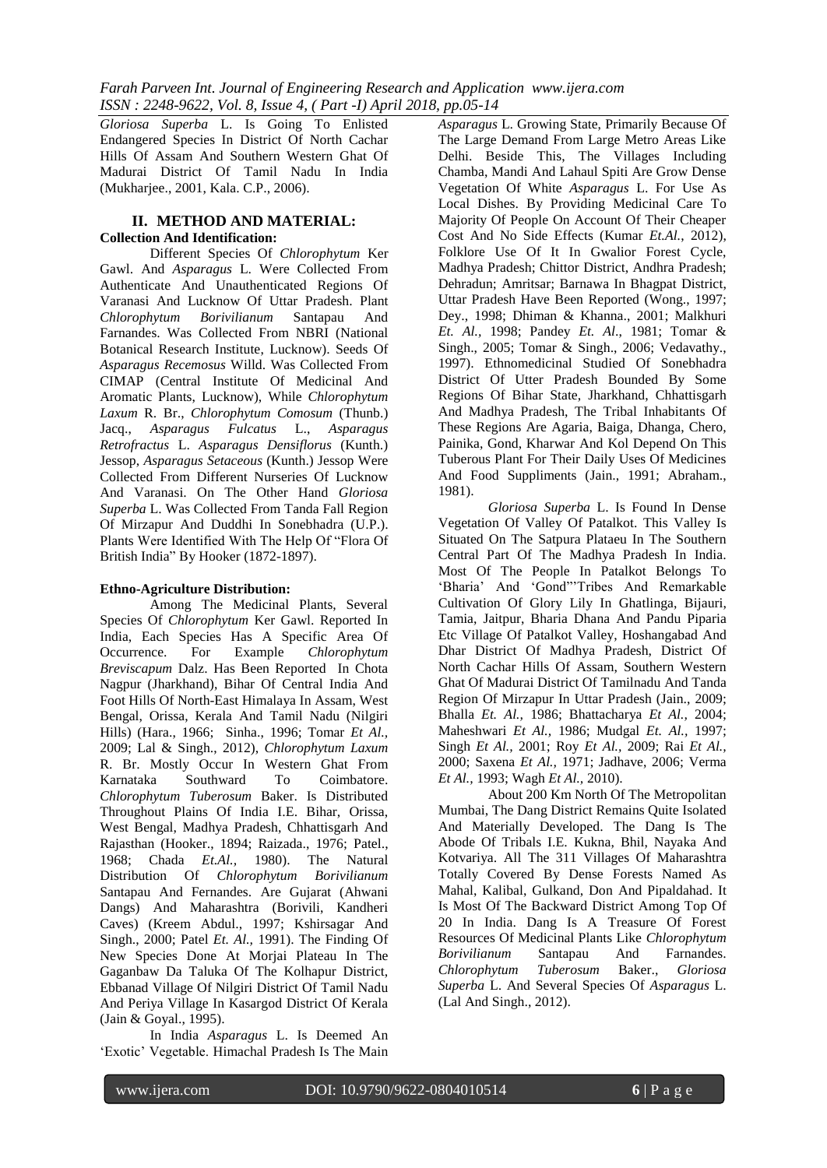*Gloriosa Superba* L. Is Going To Enlisted Endangered Species In District Of North Cachar Hills Of Assam And Southern Western Ghat Of Madurai District Of Tamil Nadu In India (Mukharjee., 2001, Kala. C.P., 2006).

#### **II. METHOD AND MATERIAL: Collection And Identification:**

Different Species Of *Chlorophytum* Ker Gawl. And *Asparagus* L. Were Collected From Authenticate And Unauthenticated Regions Of Varanasi And Lucknow Of Uttar Pradesh. Plant *Chlorophytum Borivilianum* Santapau And Farnandes. Was Collected From NBRI (National Botanical Research Institute, Lucknow). Seeds Of *Asparagus Recemosus* Willd. Was Collected From CIMAP (Central Institute Of Medicinal And Aromatic Plants, Lucknow), While *Chlorophytum Laxum* R. Br., *Chlorophytum Comosum* (Thunb.) Jacq., *Asparagus Fulcatus* L., *Asparagus Retrofractus* L. *Asparagus Densiflorus* (Kunth.) Jessop, *Asparagus Setaceous* (Kunth.) Jessop Were Collected From Different Nurseries Of Lucknow And Varanasi. On The Other Hand *Gloriosa Superba* L. Was Collected From Tanda Fall Region Of Mirzapur And Duddhi In Sonebhadra (U.P.). Plants Were Identified With The Help Of "Flora Of British India" By Hooker (1872-1897).

## **Ethno-Agriculture Distribution:**

Among The Medicinal Plants, Several Species Of *Chlorophytum* Ker Gawl. Reported In India, Each Species Has A Specific Area Of Occurrence. For Example *Chlorophytum Breviscapum* Dalz. Has Been Reported In Chota Nagpur (Jharkhand), Bihar Of Central India And Foot Hills Of North-East Himalaya In Assam, West Bengal, Orissa, Kerala And Tamil Nadu (Nilgiri Hills) (Hara., 1966; Sinha., 1996; Tomar *Et Al.,* 2009; Lal & Singh., 2012), *Chlorophytum Laxum* R. Br. Mostly Occur In Western Ghat From Karnataka Southward To Coimbatore. *Chlorophytum Tuberosum* Baker. Is Distributed Throughout Plains Of India I.E. Bihar, Orissa, West Bengal, Madhya Pradesh, Chhattisgarh And Rajasthan (Hooker., 1894; Raizada., 1976; Patel., 1968; Chada *Et.Al.,* 1980). The Natural Distribution Of *Chlorophytum Borivilianum* Santapau And Fernandes. Are Gujarat (Ahwani Dangs) And Maharashtra (Borivili, Kandheri Caves) (Kreem Abdul., 1997; Kshirsagar And Singh., 2000; Patel *Et. Al.,* 1991). The Finding Of New Species Done At Morjai Plateau In The Gaganbaw Da Taluka Of The Kolhapur District, Ebbanad Village Of Nilgiri District Of Tamil Nadu And Periya Village In Kasargod District Of Kerala (Jain & Goyal., 1995).

In India *Asparagus* L. Is Deemed An 'Exotic' Vegetable. Himachal Pradesh Is The Main

*Asparagus* L. Growing State, Primarily Because Of The Large Demand From Large Metro Areas Like Delhi. Beside This, The Villages Including Chamba, Mandi And Lahaul Spiti Are Grow Dense Vegetation Of White *Asparagus* L. For Use As Local Dishes. By Providing Medicinal Care To Majority Of People On Account Of Their Cheaper Cost And No Side Effects (Kumar *Et.Al.*, 2012), Folklore Use Of It In Gwalior Forest Cycle, Madhya Pradesh; Chittor District, Andhra Pradesh; Dehradun; Amritsar; Barnawa In Bhagpat District, Uttar Pradesh Have Been Reported (Wong., 1997; Dey., 1998; Dhiman & Khanna., 2001; Malkhuri *Et. Al.,* 1998; Pandey *Et. Al*., 1981; Tomar & Singh., 2005; Tomar & Singh., 2006; Vedavathy., 1997). Ethnomedicinal Studied Of Sonebhadra District Of Utter Pradesh Bounded By Some Regions Of Bihar State, Jharkhand, Chhattisgarh And Madhya Pradesh, The Tribal Inhabitants Of These Regions Are Agaria, Baiga, Dhanga, Chero, Painika, Gond, Kharwar And Kol Depend On This Tuberous Plant For Their Daily Uses Of Medicines And Food Suppliments (Jain., 1991; Abraham., 1981).

*Gloriosa Superba* L. Is Found In Dense Vegetation Of Valley Of Patalkot. This Valley Is Situated On The Satpura Plataeu In The Southern Central Part Of The Madhya Pradesh In India. Most Of The People In Patalkot Belongs To "Bharia" And "Gond""Tribes And Remarkable Cultivation Of Glory Lily In Ghatlinga, Bijauri, Tamia, Jaitpur, Bharia Dhana And Pandu Piparia Etc Village Of Patalkot Valley, Hoshangabad And Dhar District Of Madhya Pradesh, District Of North Cachar Hills Of Assam, Southern Western Ghat Of Madurai District Of Tamilnadu And Tanda Region Of Mirzapur In Uttar Pradesh (Jain., 2009; Bhalla *Et. Al.,* 1986; Bhattacharya *Et Al.,* 2004; Maheshwari *Et Al.,* 1986; Mudgal *Et. Al.,* 1997; Singh *Et Al.,* 2001; Roy *Et Al.,* 2009; Rai *Et Al.,* 2000; Saxena *Et Al.,* 1971; Jadhave, 2006; Verma *Et Al.,* 1993; Wagh *Et Al.,* 2010).

About 200 Km North Of The Metropolitan Mumbai, The Dang District Remains Quite Isolated And Materially Developed. The Dang Is The Abode Of Tribals I.E. Kukna, Bhil, Nayaka And Kotvariya. All The 311 Villages Of Maharashtra Totally Covered By Dense Forests Named As Mahal, Kalibal, Gulkand, Don And Pipaldahad. It Is Most Of The Backward District Among Top Of 20 In India. Dang Is A Treasure Of Forest Resources Of Medicinal Plants Like *Chlorophytum Borivilianum* Santapau And Farnandes. *Chlorophytum Tuberosum* Baker., *Gloriosa Superba* L. And Several Species Of *Asparagus* L. (Lal And Singh., 2012).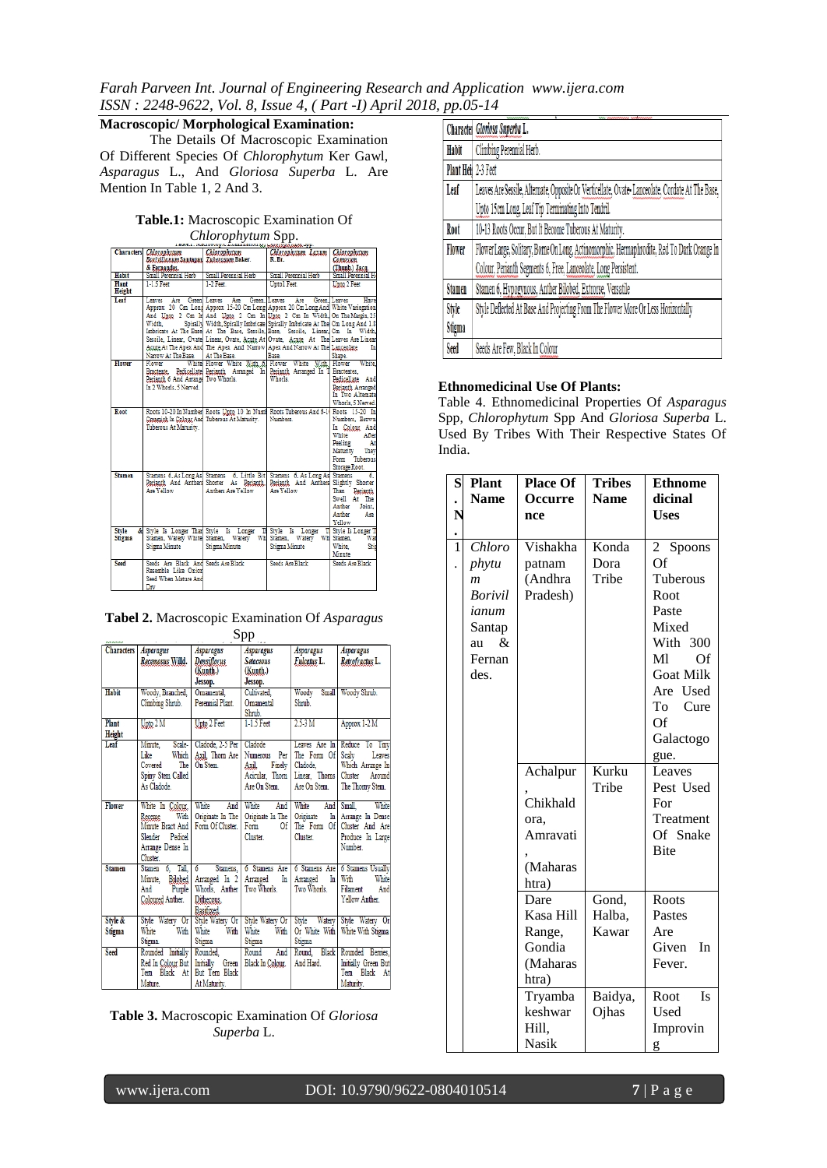*Farah Parveen Int. Journal of Engineering Research and Application www.ijera.com ISSN : 2248-9622, Vol. 8, Issue 4, ( Part -I) April 2018, pp.05-14*

**Macroscopic/ Morphological Examination:**

The Details Of Macroscopic Examination Of Different Species Of *Chlorophytum* Ker Gawl, *Asparagus* L., And *Gloriosa Superba* L. Are Mention In Table 1, 2 And 3.

## **Table.1:** Macroscopic Examination Of *Chlorophytum* Spp.

|               | Characters Chlorophytum                   | Chlorophytum                                 | Chlorophytum Laxum                                                                                                                                                | <b>Chlorophytum</b> |
|---------------|-------------------------------------------|----------------------------------------------|-------------------------------------------------------------------------------------------------------------------------------------------------------------------|---------------------|
|               | Borivilianum Santapan Tuberosum Baker.    |                                              | R.Br.                                                                                                                                                             | Camasum             |
|               | & Fernandes.                              |                                              |                                                                                                                                                                   | (Thunb.) Jacq.      |
| <b>Habit</b>  | Small Perennial Herb Small Perennial Herb |                                              | Small Perennial Herb                                                                                                                                              | Small Perennial H   |
| Plant         | 1-1.5 Feet                                | 1-2 Feet.                                    | Unto I Feet.                                                                                                                                                      | Upto 2 Feet         |
| Height        |                                           |                                              |                                                                                                                                                                   |                     |
| Leaf          |                                           | Leaves Are Green Leaves Are Green. Leaves    | Are Green, Leaves                                                                                                                                                 | Have                |
|               |                                           |                                              | Approx 20 Cm Long Approx 15-20 Cm Long Approx 20 Cm Long And White Variegation                                                                                    |                     |
|               |                                           |                                              | And Upto 2 Cm In And Upto 2 Cm In Upto 2 Cm In Width On The Margin, 25                                                                                            |                     |
|               | Width.                                    |                                              | Spirally Width, Spirally Imbricate Spirally Imbricate At The Cm Long And 1.8                                                                                      |                     |
|               |                                           |                                              | Imbricate At The Base At The Base, Sessile, Base, Sessile, Linear, Cm In Width,                                                                                   |                     |
|               |                                           |                                              | Sessile, Linear, Ovate Linear, Ovate, Acute At Ovate, Acute, At The Leaves Are Linear                                                                             |                     |
|               |                                           |                                              | Agute At The Apex And The Apex And Narrow Apex And Narrow At The Langeolate                                                                                       | In                  |
|               | Narrow At The Base.                       | At The Base                                  | <b>Base</b>                                                                                                                                                       | Shape.              |
| Flower        |                                           |                                              | Flower White Flower White With 6 Flower White With Flower White,                                                                                                  |                     |
|               |                                           |                                              | Bracteate. Pedicellate Perianth Arranged In Perianth Arranged In T Bracteates,                                                                                    |                     |
|               | Perianth 6 And Arrange Two Whorls.        |                                              | Whorls                                                                                                                                                            | Pedicellate And     |
|               | In 2 Whorls, 5 Nerved.                    |                                              |                                                                                                                                                                   | Perianth Arranged   |
|               |                                           |                                              |                                                                                                                                                                   | In Two Alternate    |
|               |                                           |                                              |                                                                                                                                                                   | Whorls, 5 Nerved.   |
| Root          |                                           |                                              | Roots 10-20 In Number Roots Upto 10 In Numi Roots Tuberous And 6-1 Roots 15-20 In                                                                                 |                     |
|               |                                           | Creamish In Colour And Tuberous At Maturity. | Numbers.                                                                                                                                                          | Numbers. Brown      |
|               | Tuberous At Maturity.                     |                                              |                                                                                                                                                                   | In Colour And       |
|               |                                           |                                              |                                                                                                                                                                   | White After         |
|               |                                           |                                              |                                                                                                                                                                   | Peeling<br>At       |
|               |                                           |                                              |                                                                                                                                                                   | Maturity They       |
|               |                                           |                                              |                                                                                                                                                                   | Form Tuberous       |
|               |                                           |                                              |                                                                                                                                                                   | Storage Root.       |
| <b>Stamen</b> |                                           |                                              |                                                                                                                                                                   |                     |
|               |                                           |                                              | Stamens 6, As Long As Stamens 6, Little Bit Stamens 6, As Long As Stamens 6,<br>Perianth, And Anthers Shorter As Perianth, Perianth, And Anthers Slightly Shorter |                     |
|               | Are Yellow                                | Anthers Are Yellow                           | Are Yellow                                                                                                                                                        | Than Perianth       |
|               |                                           |                                              |                                                                                                                                                                   | Swell At The        |
|               |                                           |                                              |                                                                                                                                                                   | Anther Joint,       |
|               |                                           |                                              |                                                                                                                                                                   | Anther<br>Are       |
|               |                                           |                                              |                                                                                                                                                                   | Yellow              |
| <b>Style</b>  |                                           | & Style Is Longer Than Style Is Longer Th    | Style Is Longer T Style Is Longer T                                                                                                                               |                     |
| Stigma        |                                           |                                              | Stamen, Watery White Stamen, Watery Wh Stamen, Watery Wh Stamen,                                                                                                  | War                 |
|               | Stigma Minute                             | <b>Stigma Minute</b>                         | Stigma Minute                                                                                                                                                     | Stip<br>White.      |
|               |                                           |                                              |                                                                                                                                                                   | Minute              |
| Seed          | Seeds Are Black And Seeds Are Black       |                                              | Seeds Are Black                                                                                                                                                   | Seeds Are Black     |
|               | Resemble Like Onion                       |                                              |                                                                                                                                                                   |                     |
|               | Seed When Mature And                      |                                              |                                                                                                                                                                   |                     |
|               | Drv                                       |                                              |                                                                                                                                                                   |                     |

|  |     | Tabel 2. Macroscopic Examination Of Asparagus |
|--|-----|-----------------------------------------------|
|  | Spp |                                               |

|                   |                                                                                                                   |                                                                                   | opp                                                                              |                                                                         |                                                                                                      |
|-------------------|-------------------------------------------------------------------------------------------------------------------|-----------------------------------------------------------------------------------|----------------------------------------------------------------------------------|-------------------------------------------------------------------------|------------------------------------------------------------------------------------------------------|
|                   | Characters   Asparagus<br>Recemosus Willd.                                                                        | <b>Asparagus</b><br>Densiflorus<br>(Kunth.)<br>Jessop.                            | <b>Asparagus</b><br><b>Setaceous</b><br>(Kunth.)<br>Jessop.                      | Asparagus<br>Fulcatus L.                                                | Asparagus<br>Retrofractus L.                                                                         |
| Habit             | Woody, Branched,<br>Climbing Shrub.                                                                               | Omamental.<br>Perennial Plant.                                                    | Cultivated.<br>Omamental<br>Shrub.                                               | Woody<br>Shrub.                                                         | Small   Woody Shrub.                                                                                 |
| Plant<br>Height   | $U$ pto $2 M$                                                                                                     | Upto 2 Feet                                                                       | 1-1.5 Feet                                                                       | $2.5-3M$                                                                | Approx 1-2 M                                                                                         |
| Leaf              | Scale-<br>Minute,<br>Which<br>Like<br>Covered<br>The I<br>Spiny Stem Called<br>As Cladode                         | Cladode, 2-5 Per   Cladode<br>Axil, Thorn Are<br>On Stem.                         | <b>Numerous</b><br>Per I<br>Axil.<br>Finely  <br>Acicular. Thorn<br>Are On Stem. | The Form Of Scaly<br>Cladode.<br>Linear, Thorns Cluster<br>Are On Stem. | Leaves Are In Reduce To Tiny<br>Leaves<br>Which Arrange In<br>Around<br>The Thorny Stem.             |
| <b>Flower</b>     | White In Colour, White<br>With<br>Receme<br>Minute Bract And<br>Slender<br>Pedicel<br>Arrange Dense In<br>Cluster | And<br>Originate In The<br>Form Of Cluster.                                       | White<br>And<br>Originate In The<br>Form<br>Of  <br>Cluster.                     | White<br>And  <br>Originate<br>Cluster.                                 | White<br>Small,<br>In Arrange In Dense<br>The Form Of Cluster And Are<br>Produce In Large<br>Number. |
| <b>Stamen</b>     | Stamen 6. Tall.<br>Minute. Bilobed   Arranged In 2  <br>And<br>Coloured Anther.                                   | $\overline{6}$<br>Stamens,<br>Purple   Whorls, Anther<br>Dithecous.<br>Basifixed. | 6 Stamens Are<br>Arranged In<br>Two Whorls.                                      | Arranged<br>Two Whorls.                                                 | 6 Stamens Are 6 Stamens Usually<br>In With<br>White<br>Filament<br>And<br>Yellow Anther.             |
| Style &<br>Stigma | Style Watery Or   Style Watery Or   Style Watery Or  <br>White<br>Stigma.                                         | With White<br>With<br>Stigma                                                      | White<br>With<br>Stigma                                                          | Style<br>Watery<br>Or White With<br>Stigma                              | Style Watery Or<br>White With Stigma                                                                 |
| <b>Seed</b>       | Rounded Initially Rounded,<br>Red In Colour But<br>Tern Black At But Tern Black<br>Mature.                        | Initially<br>Green<br>At Maturity.                                                | Round<br>And<br>Black In Colour.                                                 | Round, Black<br>And Hard                                                | Rounded Berries,<br>Initially Green But<br>Tern Black At<br>Maturity.                                |

**Table 3.** Macroscopic Examination Of *Gloriosa Superba* L.

|                     | Charactel Gloriosa Superba L.                                                                   |
|---------------------|-------------------------------------------------------------------------------------------------|
| Habit               | Climbing Perennial Herb.                                                                        |
| Plant Heir 2-3 Feet |                                                                                                 |
| Leaf                | Leaves Are Sessile, Alternate, Opposite Or Verticellate, Ovate-Lanceolate, Cordate At The Base, |
|                     | Upto 15cm Long, Leaf Tip Terminating Into Tendril.                                              |
| Root                | 10-13 Roots Occur, But It Become Tuberous At Maturity.                                          |
| Flower              | Flower Large, Solitary, Bome On Long, Actinomorphic, Hermaphrodite, Red To Dark Orange In       |
|                     | Colour, Perianth Segments 6, Free, Lanceolate, Long Persistent.                                 |
| <b>Stamen</b>       | Stamen 6, Hypogynous, Anther Bilobed, Extrorse, Versatile                                       |
| Style               | Style Deflected At Base And Projecting From The Flower More Or Less Horizontally                |
| Stigma              |                                                                                                 |
| Seed                | Seeds Are Few, Black In Colour                                                                  |

## **Ethnomedicinal Use Of Plants:**

Table 4. Ethnomedicinal Properties Of *Asparagus* Spp, *Chlorophytum* Spp And *Gloriosa Superba* L. Used By Tribes With Their Respective States Of India.

| $\overline{\mathbf{S}}$ | Plant          | <b>Place Of</b> |             | <b>Ethnome</b>   |
|-------------------------|----------------|-----------------|-------------|------------------|
|                         | <b>Name</b>    | Occurre         | <b>Name</b> | dicinal          |
| N                       |                | nce             |             | <b>Uses</b>      |
|                         |                |                 |             |                  |
| $\frac{1}{1}$           | Chloro         | Vishakha        | Konda       | 2 Spoons         |
|                         | phytu          | patnam          | Dora        | Of               |
|                         | $\mathfrak{m}$ | (Andhra         | Tribe       | Tuberous         |
|                         | <b>Borivil</b> | Pradesh)        |             | Root             |
|                         | ianum          |                 |             | Paste            |
|                         | Santap         |                 |             | Mixed            |
|                         | &<br>au        |                 |             | With 300         |
|                         | Fernan         |                 |             | M1<br>Of         |
|                         | des.           |                 |             | <b>Goat Milk</b> |
|                         |                |                 |             | Are Used         |
|                         |                |                 |             | Cure<br>To       |
|                         |                |                 |             | Of               |
|                         |                |                 |             | Galactogo        |
|                         |                |                 |             | gue.             |
|                         |                | Achalpur        | Kurku       | Leaves           |
|                         |                |                 | Tribe       | Pest Used        |
|                         |                | Chikhald        |             | For              |
|                         |                | ora.            |             | Treatment        |
|                         |                | Amravati        |             | Of Snake         |
|                         |                |                 |             | <b>Bite</b>      |
|                         |                | (Maharas        |             |                  |
|                         |                | htra)           |             |                  |
|                         |                | Dare            | Gond,       | Roots            |
|                         |                | Kasa Hill       | Halba,      | Pastes           |
|                         |                | Range,          | Kawar       | Are              |
|                         |                | Gondia          |             | Given<br>In      |
|                         |                | (Maharas        |             | Fever.           |
|                         |                | htra)           |             |                  |
|                         |                | Tryamba         | Baidya,     | Is<br>Root       |
|                         |                | keshwar         | Ojhas       | Used             |
|                         |                | Hill,           |             | Improvin         |
|                         |                | Nasik           |             | g                |

www.ijera.com DOI: 10.9790/9622-0804010514 **7** | P a g e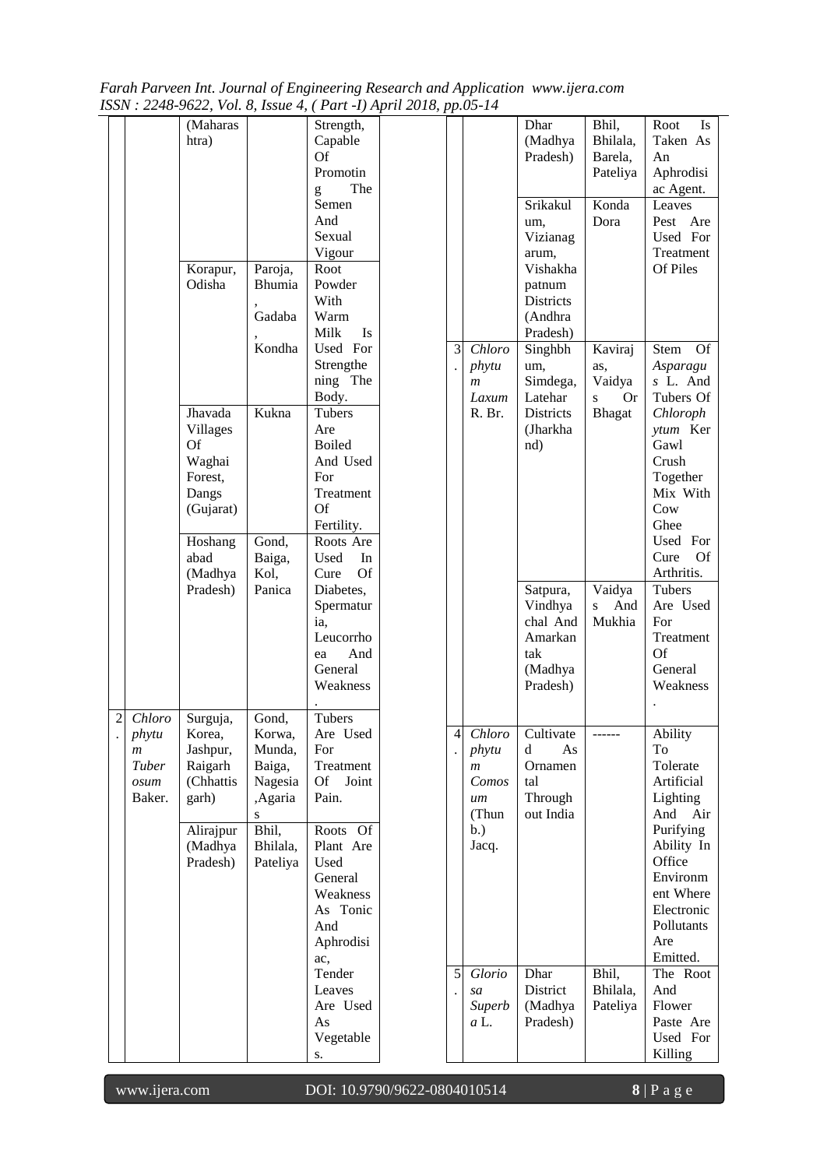*Farah Parveen Int. Journal of Engineering Research and Application www.ijera.com ISSN : 2248-9622, Vol. 8, Issue 4, ( Part -I) April 2018, pp.05-14*

|                |                                             | (Maharas<br>htra)<br>Korapur,<br>Odisha                                       | Paroja,<br>Bhumia<br>Gadaba                                                  | Strength,<br>Capable<br><b>Of</b><br>Promotin<br>The<br>g<br>Semen<br>And<br>Sexual<br>Vigour<br>Root<br>Powder<br>With<br>Warm<br>Milk<br>Is |                           |                                                        | Dhar<br>(Madhya<br>Pradesh)<br>Srikakul<br>um,<br>Vizianag<br>arum,<br>Vishakha<br>patnum<br><b>Districts</b><br>(Andhra<br>Pradesh) | Bhil,<br>Bhilala,<br>Barela,<br>Pateliya<br>Konda<br>Dora | Root<br>Is<br>Taken As<br>An<br>Aphrodisi<br>ac Agent.<br>Leaves<br>Pest Are<br>Used For<br>Treatment<br>Of Piles                                                   |
|----------------|---------------------------------------------|-------------------------------------------------------------------------------|------------------------------------------------------------------------------|-----------------------------------------------------------------------------------------------------------------------------------------------|---------------------------|--------------------------------------------------------|--------------------------------------------------------------------------------------------------------------------------------------|-----------------------------------------------------------|---------------------------------------------------------------------------------------------------------------------------------------------------------------------|
|                |                                             | Jhavada<br>Villages<br>Of<br>Waghai<br>Forest,                                | Kondha<br>Kukna                                                              | Used For<br>Strengthe<br>ning The<br>Body.<br>Tubers<br>Are<br><b>Boiled</b><br>And Used<br>For                                               | 3<br>$\ddot{\phantom{0}}$ | Chloro<br>phytu<br>$\boldsymbol{m}$<br>Laxum<br>R. Br. | Singhbh<br>um,<br>Simdega,<br>Latehar<br><b>Districts</b><br>(Jharkha)<br>nd)                                                        | Kaviraj<br>as,<br>Vaidya<br><b>Or</b><br>S<br>Bhagat      | <b>Stem</b><br><b>Of</b><br>Asparagu<br>s L. And<br>Tubers Of<br>Chloroph<br>ytum Ker<br>Gawl<br>Crush<br>Together                                                  |
|                |                                             | Dangs<br>(Gujarat)<br>Hoshang<br>abad<br>(Madhya<br>Pradesh)                  | Gond,<br>Baiga,<br>Kol,<br>Panica                                            | Treatment<br>Of<br>Fertility.<br>Roots Are<br>Used<br>In<br>Of<br>Cure<br>Diabetes,<br>Spermatur<br>ia,<br>Leucorrho                          |                           |                                                        | Satpura,<br>Vindhya<br>chal And<br>Amarkan                                                                                           | Vaidya<br>And<br>S<br>Mukhia                              | Mix With<br>Cow<br>Ghee<br>Used For<br>Cure<br>Of<br>Arthritis.<br>Tubers<br>Are Used<br>For<br>Treatment                                                           |
| $\overline{2}$ | Chloro<br>phytu                             | Surguja,<br>Korea,                                                            | Gond,<br>Korwa,                                                              | And<br>ea<br>General<br>Weakness<br>Tubers<br>Are Used                                                                                        | 4                         |                                                        | tak<br>(Madhya<br>Pradesh)<br>Chloro Cultivate                                                                                       |                                                           | <b>Of</b><br>General<br>Weakness<br>Ability                                                                                                                         |
|                | $\boldsymbol{m}$<br>Tuber<br>osum<br>Baker. | Jashpur,<br>Raigarh<br>(Chhattis<br>garh)<br>Alirajpur<br>(Madhya<br>Pradesh) | Munda,<br>Baiga,<br>Nagesia<br>,Agaria<br>S<br>Bhil,<br>Bhilala,<br>Pateliya | For<br>Treatment<br>Of Joint<br>Pain.<br>Roots Of<br>Plant Are<br>Used<br>General<br>Weakness<br>As Tonic<br>And<br>Aphrodisi<br>ac,          |                           | phytu<br>m<br>Comos<br>um<br>(Thun<br>b.)<br>Jacq.     | d<br>As<br>Ornamen<br>tal<br>Through<br>out India                                                                                    |                                                           | To<br>Tolerate<br>Artificial<br>Lighting<br>And<br>Air<br>Purifying<br>Ability In<br>Office<br>Environm<br>ent Where<br>Electronic<br>Pollutants<br>Are<br>Emitted. |
|                |                                             |                                                                               |                                                                              | Tender<br>Leaves<br>Are Used<br>As<br>Vegetable<br>S.                                                                                         | 5                         | Glorio<br>sa<br>Superb<br>$a$ L.                       | Dhar<br>District<br>(Madhya<br>Pradesh)                                                                                              | Bhil,<br>Bhilala,<br>Pateliya                             | The Root<br>And<br>Flower<br>Paste Are<br>Used For<br>Killing                                                                                                       |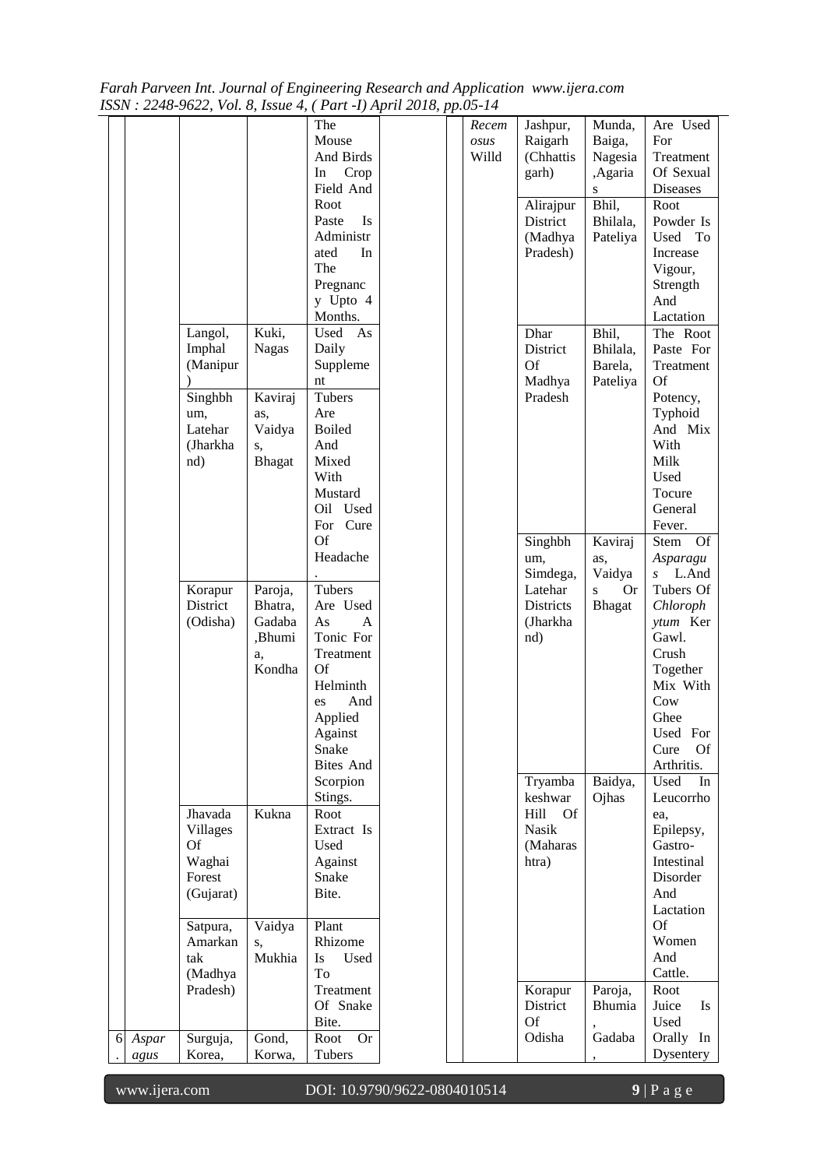| Farah Parveen Int. Journal of Engineering Research and Application www.ijera.com |  |
|----------------------------------------------------------------------------------|--|
| ISSN : 2248-9622, Vol. 8, Issue 4, (Part -I) April 2018, pp.05-14                |  |

|   |       |                 |               | 1550x, 2240-9022, vol. 0, issue 4,   1 an -1) April 2010, pp.05-14 |       |                  |                |                           |
|---|-------|-----------------|---------------|--------------------------------------------------------------------|-------|------------------|----------------|---------------------------|
|   |       |                 |               | The                                                                | Recem | Jashpur,         | Munda,         | Are Used                  |
|   |       |                 |               | Mouse                                                              | osus  | Raigarh          | Baiga,         | For                       |
|   |       |                 |               | And Birds                                                          | Willd | (Chhattis        | Nagesia        | Treatment                 |
|   |       |                 |               | In<br>Crop                                                         |       | garh)            | ,Agaria        | Of Sexual                 |
|   |       |                 |               | Field And                                                          |       |                  | ${\bf S}$      | Diseases                  |
|   |       |                 |               | Root                                                               |       | Alirajpur        | Bhil,          | Root                      |
|   |       |                 |               | Paste<br>Is                                                        |       | District         | Bhilala,       | Powder Is                 |
|   |       |                 |               | Administr                                                          |       | (Madhya          | Pateliya       | Used To                   |
|   |       |                 |               | ated<br>In                                                         |       | Pradesh)         |                | Increase                  |
|   |       |                 |               | The                                                                |       |                  |                | Vigour,                   |
|   |       |                 |               | Pregnanc                                                           |       |                  |                | Strength                  |
|   |       |                 |               | y Upto 4                                                           |       |                  |                | And                       |
|   |       |                 |               | Months.                                                            |       |                  |                | Lactation                 |
|   |       | Langol,         | Kuki,         | Used<br>As                                                         |       | Dhar             | Bhil,          | The Root                  |
|   |       | Imphal          | <b>Nagas</b>  | Daily                                                              |       | District         | Bhilala,       | Paste For                 |
|   |       | (Manipur        |               | Suppleme                                                           |       | Of               | Barela,        | Treatment                 |
|   |       |                 |               | nt                                                                 |       | Madhya           | Pateliya       | <b>Of</b>                 |
|   |       | Singhbh         | Kaviraj       | Tubers                                                             |       | Pradesh          |                | Potency,                  |
|   |       | um,             | as,           | Are                                                                |       |                  |                | Typhoid                   |
|   |       | Latehar         | Vaidya        | <b>Boiled</b>                                                      |       |                  |                | And Mix                   |
|   |       | (Jharkha        | s,            | And                                                                |       |                  |                | With                      |
|   |       | nd)             | <b>Bhagat</b> | Mixed                                                              |       |                  |                | Milk                      |
|   |       |                 |               | With                                                               |       |                  |                | Used                      |
|   |       |                 |               | Mustard                                                            |       |                  |                | Tocure                    |
|   |       |                 |               | Oil Used                                                           |       |                  |                | General                   |
|   |       |                 |               | For Cure                                                           |       |                  |                | Fever.                    |
|   |       |                 |               | Of                                                                 |       | Singhbh          | Kaviraj        | Stem<br><b>Of</b>         |
|   |       |                 |               | Headache                                                           |       |                  |                |                           |
|   |       |                 |               |                                                                    |       | um,              | as,            | Asparagu                  |
|   |       |                 |               |                                                                    |       | Simdega,         | Vaidya         | L.And<br>$\boldsymbol{S}$ |
|   |       | Korapur         | Paroja,       | Tubers                                                             |       | Latehar          | <b>Or</b><br>S | Tubers Of                 |
|   |       | District        | Bhatra,       | Are Used                                                           |       | <b>Districts</b> | Bhagat         | Chloroph                  |
|   |       | (Odisha)        | Gadaba        | As<br>A                                                            |       | (Jharkha         |                | ytum Ker                  |
|   |       |                 | ,Bhumi        | Tonic For                                                          |       | nd)              |                | Gawl.                     |
|   |       |                 | a,            | Treatment                                                          |       |                  |                | Crush                     |
|   |       |                 | Kondha        | <b>Of</b>                                                          |       |                  |                | Together                  |
|   |       |                 |               | Helminth                                                           |       |                  |                | Mix With                  |
|   |       |                 |               | And<br>es                                                          |       |                  |                | Cow                       |
|   |       |                 |               | Applied                                                            |       |                  |                | Ghee                      |
|   |       |                 |               | Against                                                            |       |                  |                | Used For                  |
|   |       |                 |               | Snake                                                              |       |                  |                | <b>Of</b><br>Cure         |
|   |       |                 |               | <b>Bites And</b>                                                   |       |                  |                | Arthritis.                |
|   |       |                 |               | Scorpion                                                           |       | Tryamba          | Baidya,        | Used<br>In                |
|   |       |                 |               | Stings.                                                            |       | keshwar          | Ojhas          | Leucorrho                 |
|   |       | Jhavada         | Kukna         | Root                                                               |       | Of<br>Hill       |                | ea,                       |
|   |       | <b>Villages</b> |               | Extract Is                                                         |       | <b>Nasik</b>     |                | Epilepsy,                 |
|   |       | Of              |               | Used                                                               |       | (Maharas         |                | Gastro-                   |
|   |       | Waghai          |               | Against                                                            |       | htra)            |                | Intestinal                |
|   |       | Forest          |               | Snake                                                              |       |                  |                | Disorder                  |
|   |       | (Gujarat)       |               | Bite.                                                              |       |                  |                | And                       |
|   |       |                 |               |                                                                    |       |                  |                | Lactation                 |
|   |       | Satpura,        | Vaidya        | Plant                                                              |       |                  |                | <b>Of</b>                 |
|   |       | Amarkan         | S,            | Rhizome                                                            |       |                  |                | Women                     |
|   |       | tak             | Mukhia        | Used<br>Is                                                         |       |                  |                | And                       |
|   |       | (Madhya         |               | To                                                                 |       |                  |                | Cattle.                   |
|   |       | Pradesh)        |               | Treatment                                                          |       | Korapur          | Paroja,        | Root                      |
|   |       |                 |               | Of Snake                                                           |       | District         | Bhumia         | Juice<br><b>Is</b>        |
|   |       |                 |               | Bite.                                                              |       | <b>Of</b>        |                | Used                      |
| 6 | Aspar | Surguja,        | Gond,         | <b>Or</b><br>Root                                                  |       | Odisha           | Gadaba         | Orally In                 |
|   | agus  | Korea,          | Korwa,        | Tubers                                                             |       |                  |                | Dysentery                 |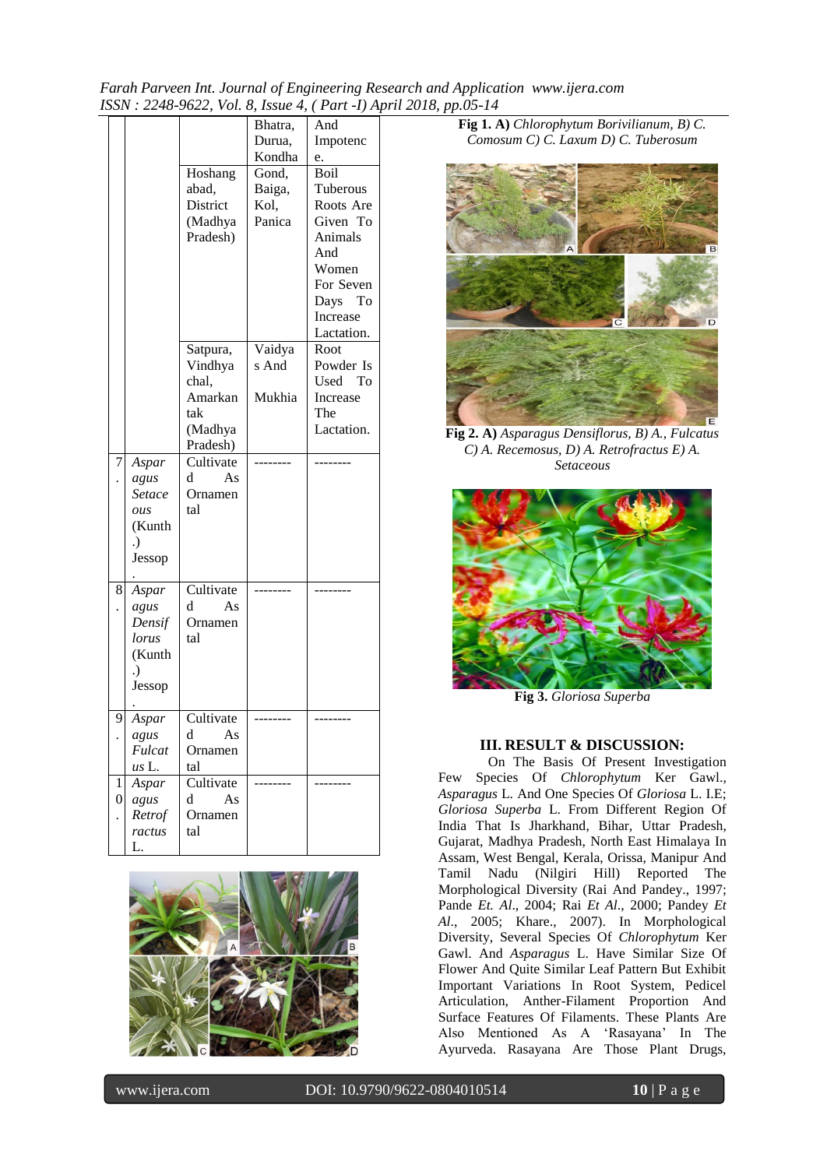*Farah Parveen Int. Journal of Engineering Research and Application www.ijera.com ISSN : 2248-9622, Vol. 8, Issue 4, ( Part -I) April 2018, pp.05-14*

|                       |                                                            | Hoshang<br>abad,<br>District<br>(Madhya<br>Pradesh)                   | Bhatra,<br>Durua,<br>Kondha<br>Gond,<br>Baiga,<br>Kol.<br>Panica | And<br>Impotenc<br>e.<br><b>Boil</b><br>Tuberous<br>Roots Are<br>Given To<br>Animals<br>And<br>Women<br>For Seven<br>Days To<br>Increase<br>Lactation. |
|-----------------------|------------------------------------------------------------|-----------------------------------------------------------------------|------------------------------------------------------------------|--------------------------------------------------------------------------------------------------------------------------------------------------------|
|                       |                                                            | Satpura,<br>Vindhya<br>chal,<br>Amarkan<br>tak<br>(Madhya<br>Pradesh) | Vaidya<br>s And<br>Mukhia                                        | Root<br>Powder Is<br>To<br>Used<br>Increase<br>The<br>Lactation.                                                                                       |
| 7                     | Aspar<br>agus<br>Setace<br>ous<br>(Kunth<br>.)<br>Jessop   | Cultivate<br>d<br>As<br>Ornamen<br>tal                                |                                                                  |                                                                                                                                                        |
| 8                     | Aspar<br>agus<br>Densif<br>lorus<br>(Kunth<br>.)<br>Jessop | Cultivate<br>d<br>As<br>Ornamen<br>tal                                |                                                                  |                                                                                                                                                        |
| 9                     | Aspar<br>agus<br>Fulcat<br>us L.                           | Cultivate<br>d<br>$\mathbf{A}\mathbf{s}$<br>Ornamen<br>tal            |                                                                  |                                                                                                                                                        |
| 1<br>$\boldsymbol{0}$ | Aspar<br>agus<br>Retrof<br>ractus<br>L.                    | Cultivate<br>d<br>As<br>Ornamen<br>tal                                |                                                                  |                                                                                                                                                        |



**Fig 1. A)** *Chlorophytum Borivilianum, B) C. Comosum C) C. Laxum D) C. Tuberosum*



**Fig 2. A)** *Asparagus Densiflorus, B) A., Fulcatus C) A. Recemosus, D) A. Retrofractus E) A. Setaceous*



**Fig 3.** *Gloriosa Superba*

#### **III. RESULT & DISCUSSION:**

On The Basis Of Present Investigation Few Species Of *Chlorophytum* Ker Gawl., *Asparagus* L. And One Species Of *Gloriosa* L. I.E; *Gloriosa Superba* L. From Different Region Of India That Is Jharkhand, Bihar, Uttar Pradesh, Gujarat, Madhya Pradesh, North East Himalaya In Assam, West Bengal, Kerala, Orissa, Manipur And Tamil Nadu (Nilgiri Hill) Reported The Morphological Diversity (Rai And Pandey., 1997; Pande *Et. Al*., 2004; Rai *Et Al*., 2000; Pandey *Et Al*., 2005; Khare., 2007). In Morphological Diversity, Several Species Of *Chlorophytum* Ker Gawl. And *Asparagus* L. Have Similar Size Of Flower And Quite Similar Leaf Pattern But Exhibit Important Variations In Root System, Pedicel Articulation, Anther-Filament Proportion And Surface Features Of Filaments. These Plants Are Also Mentioned As A "Rasayana" In The Ayurveda. Rasayana Are Those Plant Drugs,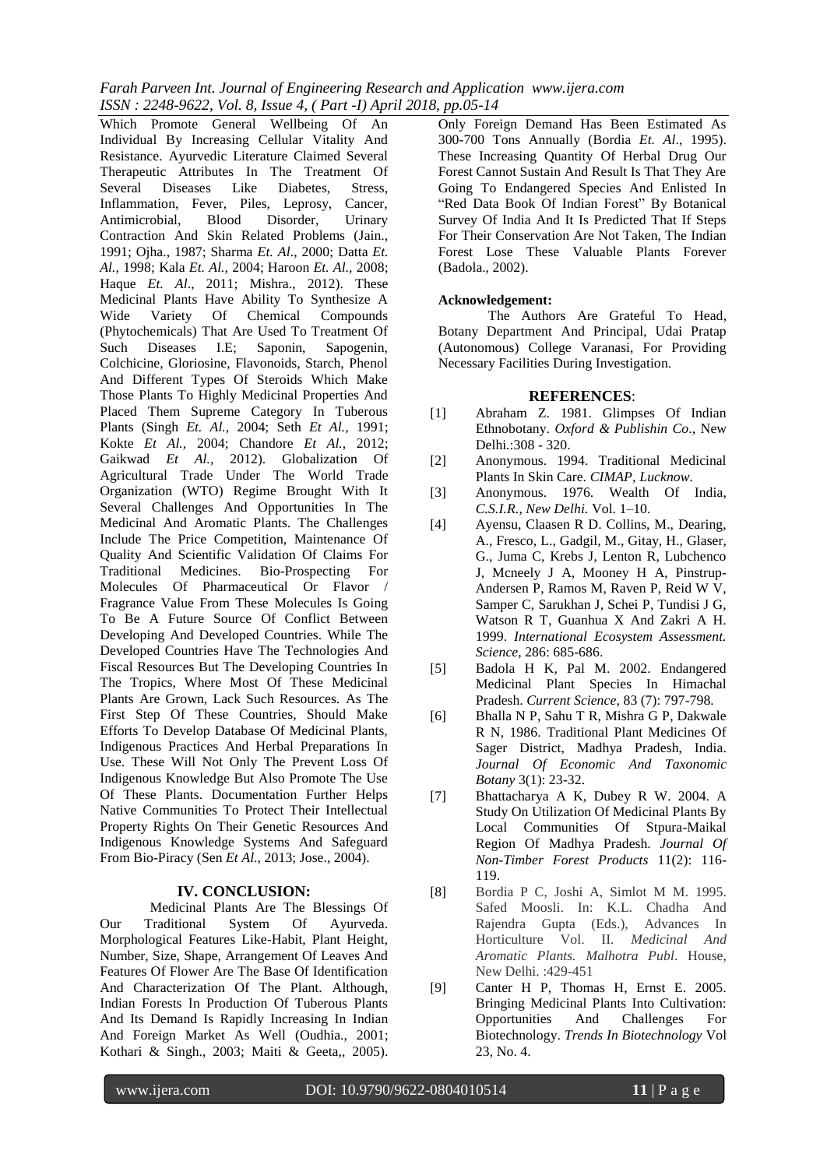*Farah Parveen Int. Journal of Engineering Research and Application www.ijera.com ISSN : 2248-9622, Vol. 8, Issue 4, ( Part -I) April 2018, pp.05-14*

Which Promote General Wellbeing Of An Individual By Increasing Cellular Vitality And Resistance. Ayurvedic Literature Claimed Several Therapeutic Attributes In The Treatment Of Several Diseases Like Diabetes, Stress, Inflammation, Fever, Piles, Leprosy, Cancer, Antimicrobial, Blood Disorder, Urinary Contraction And Skin Related Problems (Jain., 1991; Ojha., 1987; Sharma *Et. Al*., 2000; Datta *Et. Al.,* 1998; Kala *Et. Al.,* 2004; Haroon *Et. Al.,* 2008; Haque *Et. Al*., 2011; Mishra., 2012). These Medicinal Plants Have Ability To Synthesize A Wide Variety Of Chemical Compounds (Phytochemicals) That Are Used To Treatment Of Such Diseases I.E; Saponin, Sapogenin, Colchicine, Gloriosine, Flavonoids, Starch, Phenol And Different Types Of Steroids Which Make Those Plants To Highly Medicinal Properties And Placed Them Supreme Category In Tuberous Plants (Singh *Et. Al.,* 2004; Seth *Et Al.,* 1991; Kokte *Et Al.,* 2004; Chandore *Et Al.*, 2012; Gaikwad *Et Al.,* 2012). Globalization Of Agricultural Trade Under The World Trade Organization (WTO) Regime Brought With It Several Challenges And Opportunities In The Medicinal And Aromatic Plants. The Challenges Include The Price Competition, Maintenance Of Quality And Scientific Validation Of Claims For Traditional Medicines. Bio-Prospecting For Molecules Of Pharmaceutical Or Flavor / Fragrance Value From These Molecules Is Going To Be A Future Source Of Conflict Between Developing And Developed Countries. While The Developed Countries Have The Technologies And Fiscal Resources But The Developing Countries In The Tropics, Where Most Of These Medicinal Plants Are Grown, Lack Such Resources. As The First Step Of These Countries, Should Make Efforts To Develop Database Of Medicinal Plants, Indigenous Practices And Herbal Preparations In Use. These Will Not Only The Prevent Loss Of Indigenous Knowledge But Also Promote The Use Of These Plants. Documentation Further Helps Native Communities To Protect Their Intellectual Property Rights On Their Genetic Resources And Indigenous Knowledge Systems And Safeguard From Bio-Piracy (Sen *Et Al*., 2013; Jose., 2004).

#### **IV. CONCLUSION:**

Medicinal Plants Are The Blessings Of Our Traditional System Of Ayurveda. Morphological Features Like-Habit, Plant Height, Number, Size, Shape, Arrangement Of Leaves And Features Of Flower Are The Base Of Identification And Characterization Of The Plant. Although, Indian Forests In Production Of Tuberous Plants And Its Demand Is Rapidly Increasing In Indian And Foreign Market As Well (Oudhia., 2001; Kothari & Singh., 2003; Maiti & Geeta,, 2005).

Only Foreign Demand Has Been Estimated As 300-700 Tons Annually (Bordia *Et. Al*., 1995). These Increasing Quantity Of Herbal Drug Our Forest Cannot Sustain And Result Is That They Are Going To Endangered Species And Enlisted In "Red Data Book Of Indian Forest" By Botanical Survey Of India And It Is Predicted That If Steps For Their Conservation Are Not Taken, The Indian Forest Lose These Valuable Plants Forever (Badola., 2002).

#### **Acknowledgement:**

The Authors Are Grateful To Head, Botany Department And Principal, Udai Pratap (Autonomous) College Varanasi, For Providing Necessary Facilities During Investigation.

#### **REFERENCES**:

- [1] Abraham Z. 1981. Glimpses Of Indian Ethnobotany. *Oxford & Publishin Co*., New Delhi*.*:308 - 320.
- [2] Anonymous. 1994. Traditional Medicinal Plants In Skin Care. *CIMAP, Lucknow.*
- [3] Anonymous. 1976. Wealth Of India, *C.S.I.R., New Delhi.* Vol. 1–10.
- [4] Ayensu, Claasen R D. Collins, M., Dearing, A., Fresco, L., Gadgil, M., Gitay, H., Glaser, G., Juma C, Krebs J, Lenton R, Lubchenco J, Mcneely J A, Mooney H A, Pinstrup-Andersen P, Ramos M, Raven P, Reid W V, Samper C, Sarukhan J, Schei P, Tundisi J G, Watson R T, Guanhua X And Zakri A H. 1999. *International Ecosystem Assessment. Science,* 286: 685-686.
- [5] Badola H K, Pal M. 2002. Endangered Medicinal Plant Species In Himachal Pradesh. *Current Science*, 83 (7): 797-798.
- [6] Bhalla N P, Sahu T R, Mishra G P, Dakwale R N, 1986. Traditional Plant Medicines Of Sager District, Madhya Pradesh, India. *Journal Of Economic And Taxonomic Botany* 3(1): 23-32.
- [7] Bhattacharya A K, Dubey R W. 2004. A Study On Utilization Of Medicinal Plants By Local Communities Of Stpura-Maikal Region Of Madhya Pradesh. *Journal Of Non-Timber Forest Products* 11(2): 116- 119.
- [8] Bordia P C, Joshi A, Simlot M M. 1995. Safed Moosli. In: K.L. Chadha And Rajendra Gupta (Eds.), Advances In Horticulture Vol. II*. Medicinal And Aromatic Plants. Malhotra Publ*. House, New Delhi. :429-451
- [9] Canter H P, Thomas H, Ernst E. 2005. Bringing Medicinal Plants Into Cultivation: Opportunities And Challenges For Biotechnology. *Trends In Biotechnology* Vol 23, No. 4.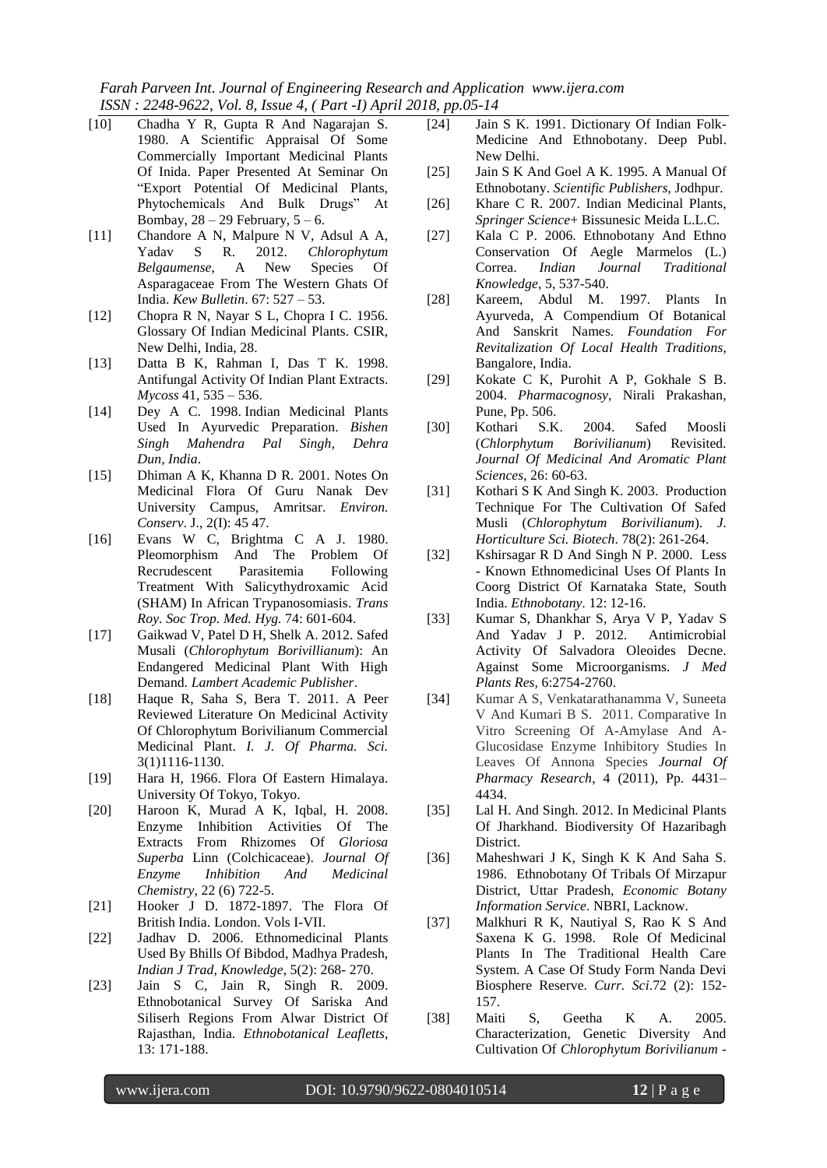*Farah Parveen Int. Journal of Engineering Research and Application www.ijera.com ISSN : 2248-9622, Vol. 8, Issue 4, ( Part -I) April 2018, pp.05-14*

- [10] Chadha Y R, Gupta R And Nagarajan S. 1980. A Scientific Appraisal Of Some Commercially Important Medicinal Plants Of Inida. Paper Presented At Seminar On "Export Potential Of Medicinal Plants, Phytochemicals And Bulk Drugs" At Bombay,  $28 - 29$  February,  $5 - 6$ .
- [11] Chandore A N, Malpure N V, Adsul A A, Yadav S R. 2012. *Chlorophytum Belgaumense*, A New Species Of Asparagaceae From The Western Ghats Of India. *Kew Bulletin*. 67: 527 – 53.
- [12] Chopra R N, Nayar S L, Chopra I C. 1956. Glossary Of Indian Medicinal Plants. CSIR, New Delhi, India, 28.
- [13] Datta B K, Rahman I, Das T K. 1998. Antifungal Activity Of Indian Plant Extracts. *Mycoss* 41, 535 – 536.
- [14] Dey A C. 1998. Indian Medicinal Plants Used In Ayurvedic Preparation. *Bishen Singh Mahendra Pal Singh, Dehra Dun, India*.
- [15] Dhiman A K, Khanna D R. 2001. Notes On Medicinal Flora Of Guru Nanak Dev University Campus, Amritsar. *Environ. Conserv*. J., 2(I): 45 47.
- [16] Evans W C, Brightma C A J. 1980. Pleomorphism And The Problem Of Recrudescent Parasitemia Following Treatment With Salicythydroxamic Acid (SHAM) In African Trypanosomiasis. *Trans Roy. Soc Trop. Med. Hyg.* 74: 601-604.
- [17] Gaikwad V, Patel D H, Shelk A. 2012. Safed Musali (*Chlorophytum Borivillianum*): An Endangered Medicinal Plant With High Demand. *Lambert Academic Publisher*.
- [18] Haque R, Saha S, Bera T. 2011. A Peer Reviewed Literature On Medicinal Activity Of Chlorophytum Borivilianum Commercial Medicinal Plant. *I. J. Of Pharma. Sci.* 3(1)1116-1130.
- [19] Hara H, 1966. Flora Of Eastern Himalaya. University Of Tokyo, Tokyo.
- [20] Haroon K, Murad A K, Iqbal, H. 2008. Enzyme Inhibition Activities Of The Extracts From Rhizomes Of *Gloriosa Superba* Linn (Colchicaceae). *Journal Of Enzyme Inhibition And Medicinal Chemistry*, 22 (6) 722-5.
- [21] Hooker J D. 1872-1897. The Flora Of British India. London. Vols I-VII.
- [22] Jadhav D. 2006. Ethnomedicinal Plants Used By Bhills Of Bibdod, Madhya Pradesh, *Indian J Trad, Knowledge*, 5(2): 268- 270.
- [23] Jain S C, Jain R, Singh R. 2009. Ethnobotanical Survey Of Sariska And Siliserh Regions From Alwar District Of Rajasthan, India. *Ethnobotanical Leafletts*, 13: 171-188.
- [24] Jain S K. 1991. Dictionary Of Indian Folk-Medicine And Ethnobotany. Deep Publ. New Delhi.
- [25] Jain S K And Goel A K. 1995. A Manual Of Ethnobotany. *Scientific Publishers*, Jodhpur.
- [26] Khare C R. 2007. Indian Medicinal Plants, *Springer Science*+ Bissunesic Meida L.L.C.
- [27] Kala C P. 2006. Ethnobotany And Ethno Conservation Of Aegle Marmelos (L.) Correa. *Indian Journal Traditional Knowledge*, 5, 537-540.
- [28] Kareem, Abdul M. 1997. Plants In Ayurveda, A Compendium Of Botanical And Sanskrit Names. *Foundation For Revitalization Of Local Health Traditions*, Bangalore, India.
- [29] Kokate C K, Purohit A P, Gokhale S B. 2004. *Pharmacognosy*, Nirali Prakashan, Pune, Pp. 506.
- [30] Kothari S.K. 2004. Safed Moosli (*Chlorphytum Borivilianum*) Revisited*. Journal Of Medicinal And Aromatic Plant Sciences*, 26: 60-63.
- [31] Kothari S K And Singh K. 2003. Production Technique For The Cultivation Of Safed Musli (*Chlorophytum Borivilianum*). *J. Horticulture Sci. Biotech*. 78(2): 261-264.
- [32] Kshirsagar R D And Singh N P. 2000. Less - Known Ethnomedicinal Uses Of Plants In Coorg District Of Karnataka State, South India. *Ethnobotany.* 12: 12-16.
- [33] Kumar S, Dhankhar S, Arya V P, Yadav S And Yadav J P. 2012. Antimicrobial Activity Of Salvadora Oleoides Decne. Against Some Microorganisms*. J Med Plants Res*, 6:2754-2760.
- [34] Kumar A S, Venkatarathanamma V, Suneeta V And Kumari B S. 2011. Comparative In Vitro Screening Of A-Amylase And A-Glucosidase Enzyme Inhibitory Studies In Leaves Of Annona Species *Journal Of Pharmacy Research*, 4 (2011), Pp. 4431– 4434.
- [35] Lal H. And Singh. 2012. In Medicinal Plants Of Jharkhand. Biodiversity Of Hazaribagh **District.**
- [36] Maheshwari J K, Singh K K And Saha S. 1986. Ethnobotany Of Tribals Of Mirzapur District, Uttar Pradesh, *Economic Botany Information Service*. NBRI, Lacknow.
- [37] Malkhuri R K, Nautiyal S, Rao K S And Saxena K G. 1998. Role Of Medicinal Plants In The Traditional Health Care System. A Case Of Study Form Nanda Devi Biosphere Reserve. *Curr. Sci*.72 (2): 152- 157.
- [38] Maiti S, Geetha K A. 2005. Characterization, Genetic Diversity And Cultivation Of *Chlorophytum Borivilianum* -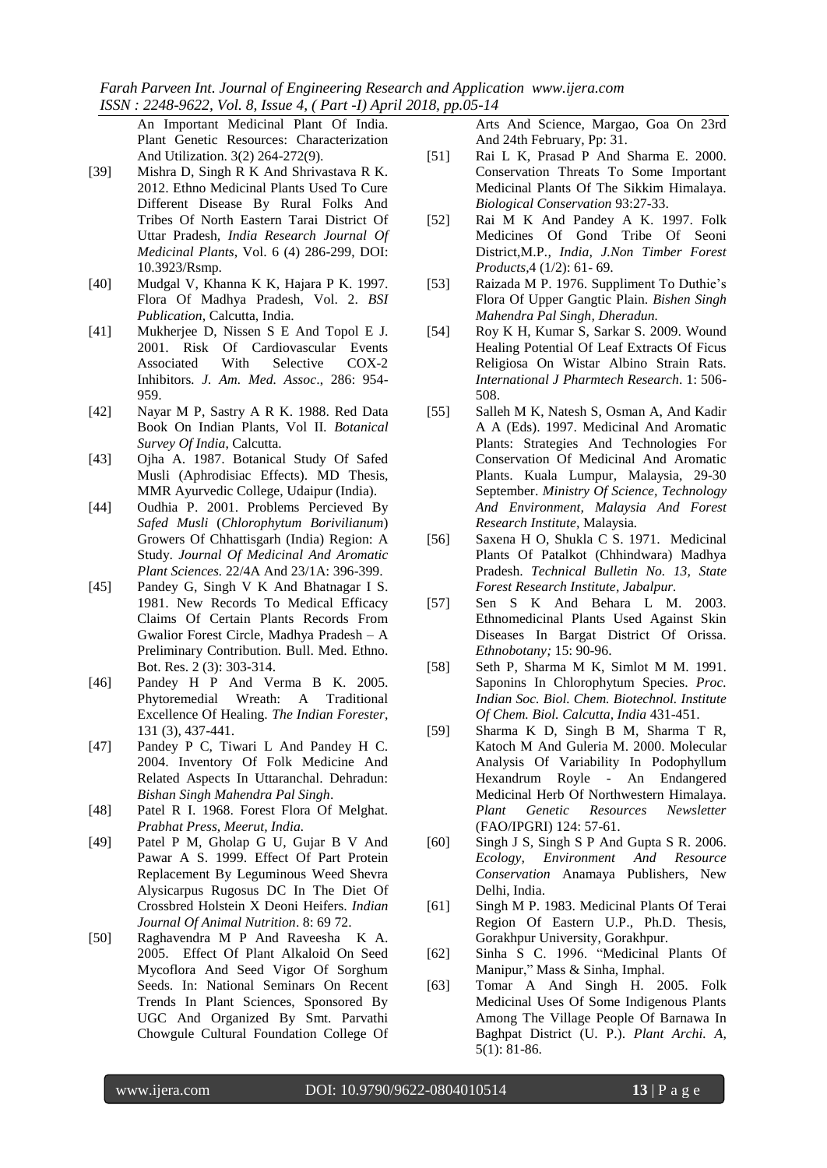An Important Medicinal Plant Of India. Plant Genetic Resources: Characterization And Utilization. 3(2) 264-272(9).

- [39] Mishra D, Singh R K And Shrivastava R K. 2012. Ethno Medicinal Plants Used To Cure Different Disease By Rural Folks And Tribes Of North Eastern Tarai District Of Uttar Pradesh*, India Research Journal Of Medicinal Plants*, Vol. 6 (4) 286-299, DOI: 10.3923/Rsmp.
- [40] Mudgal V, Khanna K K, Hajara P K. 1997. Flora Of Madhya Pradesh, Vol. 2. *BSI Publication*, Calcutta, India.
- [41] Mukherjee D, Nissen S E And Topol E J. 2001. Risk Of Cardiovascular Events Associated With Selective COX-2 Inhibitors*. J. Am. Med. Assoc*., 286: 954- 959.
- [42] Nayar M P, Sastry A R K. 1988. Red Data Book On Indian Plants, Vol II*. Botanical Survey Of India*, Calcutta.
- [43] Ojha A. 1987. Botanical Study Of Safed Musli (Aphrodisiac Effects). MD Thesis, MMR Ayurvedic College, Udaipur (India).
- [44] Oudhia P. 2001. Problems Percieved By *Safed Musli* (*Chlorophytum Borivilianum*) Growers Of Chhattisgarh (India) Region: A Study. *Journal Of Medicinal And Aromatic Plant Sciences.* 22/4A And 23/1A: 396-399.
- [45] Pandey G, Singh V K And Bhatnagar I S. 1981. New Records To Medical Efficacy Claims Of Certain Plants Records From Gwalior Forest Circle, Madhya Pradesh – A Preliminary Contribution. Bull. Med. Ethno. Bot. Res. 2 (3): 303-314.
- [46] Pandey H P And Verma B K. 2005. Phytoremedial Wreath: A Traditional Excellence Of Healing. *The Indian Forester*, 131 (3), 437-441.
- [47] Pandey P C, Tiwari L And Pandey H C. 2004. Inventory Of Folk Medicine And Related Aspects In Uttaranchal. Dehradun: *Bishan Singh Mahendra Pal Singh*.
- [48] Patel R I. 1968. Forest Flora Of Melghat. *Prabhat Press, Meerut, India.*
- [49] Patel P M, Gholap G U, Gujar B V And Pawar A S. 1999. Effect Of Part Protein Replacement By Leguminous Weed Shevra Alysicarpus Rugosus DC In The Diet Of Crossbred Holstein X Deoni Heifers. *Indian Journal Of Animal Nutrition*. 8: 69 72.
- [50] Raghavendra M P And Raveesha K A. 2005. Effect Of Plant Alkaloid On Seed Mycoflora And Seed Vigor Of Sorghum Seeds. In: National Seminars On Recent Trends In Plant Sciences, Sponsored By UGC And Organized By Smt. Parvathi Chowgule Cultural Foundation College Of

Arts And Science, Margao, Goa On 23rd And 24th February, Pp: 31.

- [51] Rai L K, Prasad P And Sharma E. 2000. Conservation Threats To Some Important Medicinal Plants Of The Sikkim Himalaya. *Biological Conservation* 93:27-33.
- [52] Rai M K And Pandey A K. 1997. Folk Medicines Of Gond Tribe Of Seoni District,M.P*., India, J.Non Timber Forest Products*,4 (1/2): 61- 69.
- [53] Raizada M P. 1976. Suppliment To Duthie's Flora Of Upper Gangtic Plain. *Bishen Singh Mahendra Pal Singh, Dheradun.*
- [54] Roy K H, Kumar S, Sarkar S. 2009. Wound Healing Potential Of Leaf Extracts Of Ficus Religiosa On Wistar Albino Strain Rats. *International J Pharmtech Research*. 1: 506- 508.
- [55] Salleh M K, Natesh S, Osman A, And Kadir A A (Eds). 1997. Medicinal And Aromatic Plants: Strategies And Technologies For Conservation Of Medicinal And Aromatic Plants. Kuala Lumpur, Malaysia, 29-30 September. *Ministry Of Science, Technology And Environment, Malaysia And Forest Research Institute,* Malaysia*.*
- [56] Saxena H O, Shukla C S. 1971. Medicinal Plants Of Patalkot (Chhindwara) Madhya Pradesh. *Technical Bulletin No. 13, State Forest Research Institute, Jabalpur.*
- [57] Sen S K And Behara L M. 2003. Ethnomedicinal Plants Used Against Skin Diseases In Bargat District Of Orissa. *Ethnobotany;* 15: 90-96.
- [58] Seth P, Sharma M K, Simlot M M. 1991. Saponins In Chlorophytum Species. *Proc. Indian Soc. Biol. Chem. Biotechnol. Institute Of Chem. Biol. Calcutta, India* 431-451.
- [59] Sharma K D, Singh B M, Sharma T R, Katoch M And Guleria M. 2000. Molecular Analysis Of Variability In Podophyllum Hexandrum Royle - An Endangered Medicinal Herb Of Northwestern Himalaya. *Plant Genetic Resources Newsletter* (FAO/IPGRI) 124: 57-61.
- [60] Singh J S, Singh S P And Gupta S R. 2006. *Ecology, Environment And Resource Conservation* Anamaya Publishers, New Delhi, India.
- [61] Singh M P. 1983. Medicinal Plants Of Terai Region Of Eastern U.P., Ph.D. Thesis, Gorakhpur University, Gorakhpur.
- [62] Sinha S C. 1996. "Medicinal Plants Of Manipur," Mass & Sinha, Imphal.
- [63] Tomar A And Singh H. 2005. Folk Medicinal Uses Of Some Indigenous Plants Among The Village People Of Barnawa In Baghpat District (U. P.). *Plant Archi. A,* 5(1): 81-86.